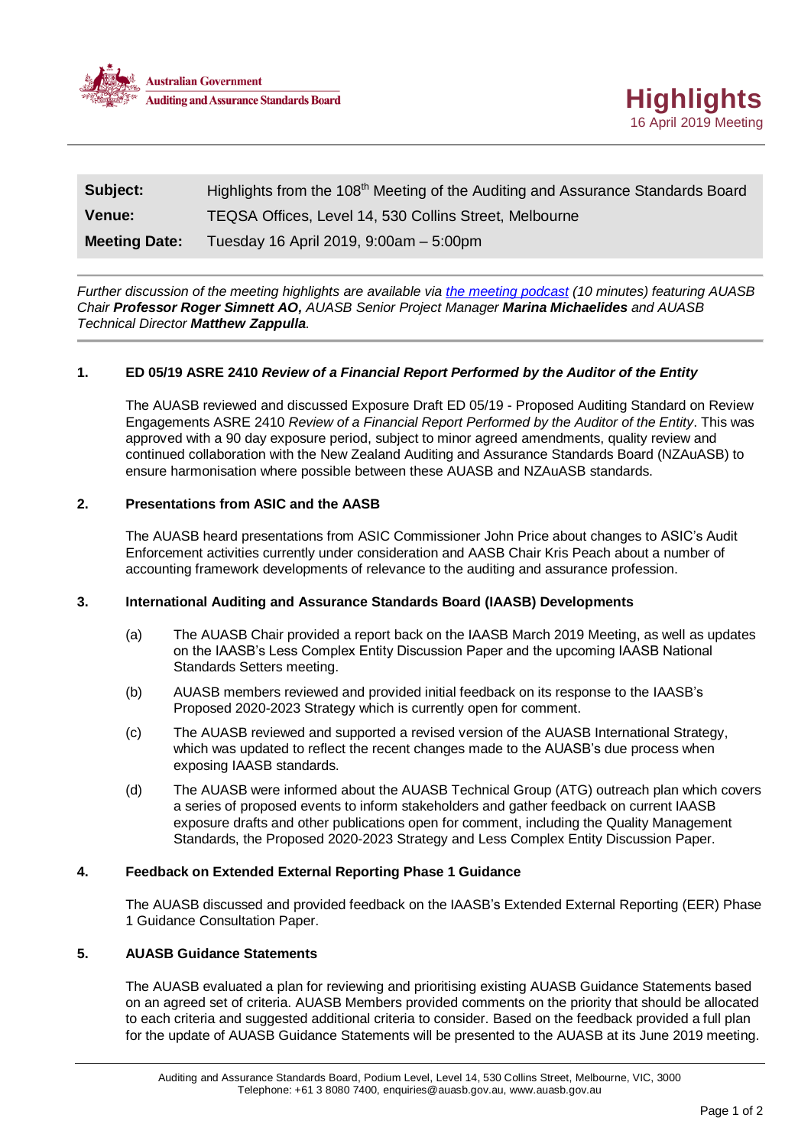



| Subject:             | Highlights from the 108 <sup>th</sup> Meeting of the Auditing and Assurance Standards Board |
|----------------------|---------------------------------------------------------------------------------------------|
| <b>Venue:</b>        | TEQSA Offices, Level 14, 530 Collins Street, Melbourne                                      |
| <b>Meeting Date:</b> | Tuesday 16 April 2019, 9:00am - 5:00pm                                                      |

*Further discussion of the meeting highlights are available via [the meeting podcast](https://soundcloud.com/communications-manager/recording) (10 minutes) featuring AUASB Chair Professor Roger Simnett AO, AUASB Senior Project Manager Marina Michaelides and AUASB Technical Director Matthew Zappulla.*

## **1. ED 05/19 ASRE 2410** *Review of a Financial Report Performed by the Auditor of the Entity*

The AUASB reviewed and discussed Exposure Draft ED 05/19 - Proposed Auditing Standard on Review Engagements ASRE 2410 *Review of a Financial Report Performed by the Auditor of the Entity*. This was approved with a 90 day exposure period, subject to minor agreed amendments, quality review and continued collaboration with the New Zealand Auditing and Assurance Standards Board (NZAuASB) to ensure harmonisation where possible between these AUASB and NZAuASB standards.

# **2. Presentations from ASIC and the AASB**

The AUASB heard presentations from ASIC Commissioner John Price about changes to ASIC's Audit Enforcement activities currently under consideration and AASB Chair Kris Peach about a number of accounting framework developments of relevance to the auditing and assurance profession.

#### **3. International Auditing and Assurance Standards Board (IAASB) Developments**

- (a) The AUASB Chair provided a report back on the IAASB March 2019 Meeting, as well as updates on the IAASB's Less Complex Entity Discussion Paper and the upcoming IAASB National Standards Setters meeting.
- (b) AUASB members reviewed and provided initial feedback on its response to the IAASB's Proposed 2020-2023 Strategy which is currently open for comment.
- (c) The AUASB reviewed and supported a revised version of the AUASB International Strategy, which was updated to reflect the recent changes made to the AUASB's due process when exposing IAASB standards.
- (d) The AUASB were informed about the AUASB Technical Group (ATG) outreach plan which covers a series of proposed events to inform stakeholders and gather feedback on current IAASB exposure drafts and other publications open for comment, including the Quality Management Standards, the Proposed 2020-2023 Strategy and Less Complex Entity Discussion Paper.

#### **4. Feedback on Extended External Reporting Phase 1 Guidance**

The AUASB discussed and provided feedback on the IAASB's Extended External Reporting (EER) Phase 1 Guidance Consultation Paper.

# **5. AUASB Guidance Statements**

The AUASB evaluated a plan for reviewing and prioritising existing AUASB Guidance Statements based on an agreed set of criteria. AUASB Members provided comments on the priority that should be allocated to each criteria and suggested additional criteria to consider. Based on the feedback provided a full plan for the update of AUASB Guidance Statements will be presented to the AUASB at its June 2019 meeting.